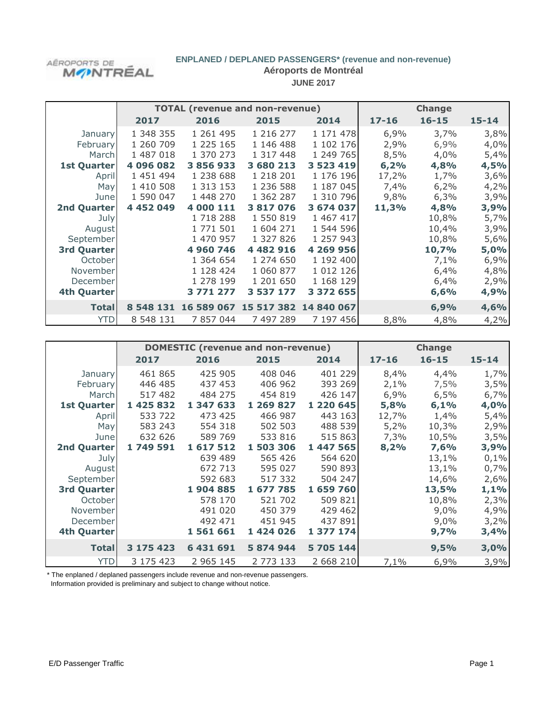# AÉROPORTS DE<br>**M**/PNTRÉAL

# **ENPLANED / DEPLANED PASSENGERS\* (revenue and non-revenue)**

**Aéroports de Montréal**

**JUNE 2017**

|                    |           | <b>TOTAL (revenue and non-revenue)</b> |               | <b>Change</b>         |           |           |           |
|--------------------|-----------|----------------------------------------|---------------|-----------------------|-----------|-----------|-----------|
|                    | 2017      | 2016                                   | 2015          | 2014                  | $17 - 16$ | $16 - 15$ | $15 - 14$ |
| January            | 1 348 355 | 1 261 495                              | 1 216 277     | 1 171 478             | 6,9%      | 3,7%      | 3,8%      |
| February           | 1 260 709 | 1 225 165                              | 1 146 488     | 1 102 176             | 2,9%      | 6,9%      | 4,0%      |
| Marchl             | 1 487 018 | 1 370 273                              | 1 317 448     | 1 249 765             | 8,5%      | 4,0%      | 5,4%      |
| <b>1st Quarter</b> | 4 096 082 | 3 856 933                              | 3 680 213     | 3 523 419             | 6,2%      | 4,8%      | 4,5%      |
| April              | 1 451 494 | 1 238 688                              | 1 218 201     | 1 176 196             | 17,2%     | 1,7%      | 3,6%      |
| May                | 1 410 508 | 1 313 153                              | 1 236 588     | 1 187 045             | 7,4%      | 6,2%      | 4,2%      |
| June               | 1 590 047 | 1 448 270                              | 1 362 287     | 1 310 796             | 9,8%      | 6,3%      | 3,9%      |
| <b>2nd Quarter</b> | 4 452 049 | 4 000 111                              | 3 817 076     | 3 674 037             | 11,3%     | 4,8%      | 3,9%      |
| July               |           | 1 718 288                              | 1 550 819     | 1 467 417             |           | 10,8%     | 5,7%      |
| August             |           | 1 771 501                              | 1 604 271     | 1 544 596             |           | 10,4%     | 3,9%      |
| September          |           | 1 470 957                              | 1 327 826     | 1 257 943             |           | 10,8%     | 5,6%      |
| <b>3rd Quarter</b> |           | 4 960 746                              | 4 4 8 2 9 1 6 | 4 269 956             |           | 10,7%     | 5,0%      |
| October            |           | 1 364 654                              | 1 274 650     | 1 192 400             |           | 7,1%      | 6,9%      |
| November           |           | 1 128 424                              | 1 060 877     | 1 0 1 2 1 2 6         |           | 6,4%      | 4,8%      |
| December           |           | 1 278 199                              | 1 201 650     | 1 168 129             |           | 6,4%      | 2,9%      |
| 4th Quarter        |           | 3 771 277                              | 3 537 177     | 3 372 655             |           | 6,6%      | 4,9%      |
| <b>Total</b>       | 8 548 131 | 16 589 067                             |               | 15 517 382 14 840 067 |           | 6,9%      | 4,6%      |
| <b>YTD</b>         | 8 548 131 | 7 857 044                              | 7 497 289     | 7 197 456             | 8,8%      | 4,8%      | 4,2%      |

|                    |           | <b>DOMESTIC (revenue and non-revenue)</b> |           |           |           |           |           |
|--------------------|-----------|-------------------------------------------|-----------|-----------|-----------|-----------|-----------|
|                    | 2017      | 2016                                      | 2015      | 2014      | $17 - 16$ | $16 - 15$ | $15 - 14$ |
| January            | 461 865   | 425 905                                   | 408 046   | 401 229   | 8,4%      | 4,4%      | 1,7%      |
| February           | 446 485   | 437 453                                   | 406 962   | 393 269   | 2,1%      | 7,5%      | 3,5%      |
| March              | 517 482   | 484 275                                   | 454 819   | 426 147   | 6,9%      | 6,5%      | 6,7%      |
| <b>1st Quarter</b> | 1 425 832 | 1 347 633                                 | 1 269 827 | 1 220 645 | 5,8%      | 6,1%      | 4,0%      |
| April              | 533 722   | 473 425                                   | 466 987   | 443 163   | 12,7%     | 1,4%      | 5,4%      |
| May                | 583 243   | 554 318                                   | 502 503   | 488 539   | 5,2%      | 10,3%     | 2,9%      |
| June               | 632 626   | 589 769                                   | 533 816   | 515 863   | 7,3%      | 10,5%     | 3,5%      |
| 2nd Quarter        | 1 749 591 | 1617512                                   | 1 503 306 | 1 447 565 | 8,2%      | 7,6%      | 3,9%      |
| July               |           | 639 489                                   | 565 426   | 564 620   |           | 13,1%     | 0,1%      |
| August             |           | 672 713                                   | 595 027   | 590 893   |           | 13,1%     | 0,7%      |
| September          |           | 592 683                                   | 517 332   | 504 247   |           | 14,6%     | 2,6%      |
| <b>3rd Quarter</b> |           | 1904885                                   | 1 677 785 | 1 659 760 |           | 13,5%     | 1,1%      |
| October            |           | 578 170                                   | 521 702   | 509 821   |           | 10,8%     | 2,3%      |
| November           |           | 491 020                                   | 450 379   | 429 462   |           | 9,0%      | 4,9%      |
| December           |           | 492 471                                   | 451 945   | 437 891   |           | 9,0%      | 3,2%      |
| 4th Quarter        |           | 1561661                                   | 1 424 026 | 1 377 174 |           | 9,7%      | 3,4%      |
| <b>Total</b>       | 3 175 423 | 6 431 691                                 | 5 874 944 | 5 705 144 |           | 9,5%      | 3,0%      |
| <b>YTD</b>         | 3 175 423 | 2 965 145                                 | 2 773 133 | 2 668 210 | 7,1%      | 6,9%      | 3,9%      |

\* The enplaned / deplaned passengers include revenue and non-revenue passengers.

Information provided is preliminary and subject to change without notice.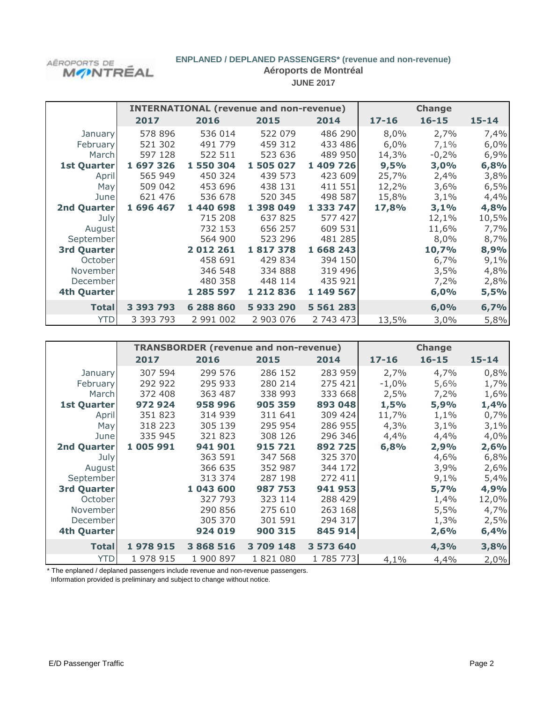

# **ENPLANED / DEPLANED PASSENGERS\* (revenue and non-revenue)**

**Aéroports de Montréal**

**JUNE 2017**

|                    |           | <b>INTERNATIONAL (revenue and non-revenue)</b> | <b>Change</b> |               |           |           |           |
|--------------------|-----------|------------------------------------------------|---------------|---------------|-----------|-----------|-----------|
|                    | 2017      | 2016                                           | 2015          | 2014          | $17 - 16$ | $16 - 15$ | $15 - 14$ |
| <b>January</b>     | 578 896   | 536 014                                        | 522 079       | 486 290       | 8,0%      | 2,7%      | 7,4%      |
| February           | 521 302   | 491 779                                        | 459 312       | 433 486       | 6,0%      | 7,1%      | 6,0%      |
| March              | 597 128   | 522 511                                        | 523 636       | 489 950       | 14,3%     | $-0,2%$   | 6,9%      |
| <b>1st Quarter</b> | 1 697 326 | 1 550 304                                      | 1 505 027     | 1 409 726     | 9,5%      | 3,0%      | 6,8%      |
| April              | 565 949   | 450 324                                        | 439 573       | 423 609       | 25,7%     | 2,4%      | 3,8%      |
| May                | 509 042   | 453 696                                        | 438 131       | 411 551       | 12,2%     | 3,6%      | 6,5%      |
| June               | 621 476   | 536 678                                        | 520 345       | 498 587       | 15,8%     | 3,1%      | 4,4%      |
| 2nd Quarter        | 1 696 467 | 1 440 698                                      | 1 398 049     | 1 333 747     | 17,8%     | 3,1%      | 4,8%      |
| July               |           | 715 208                                        | 637 825       | 577 427       |           | 12,1%     | 10,5%     |
| August             |           | 732 153                                        | 656 257       | 609 531       |           | 11,6%     | 7,7%      |
| September          |           | 564 900                                        | 523 296       | 481 285       |           | 8,0%      | 8,7%      |
| <b>3rd Quarter</b> |           | 2012261                                        | 1817378       | 1 668 243     |           | 10,7%     | 8,9%      |
| October            |           | 458 691                                        | 429 834       | 394 150       |           | 6,7%      | 9,1%      |
| November           |           | 346 548                                        | 334 888       | 319 496       |           | 3,5%      | 4,8%      |
| December           |           | 480 358                                        | 448 114       | 435 921       |           | 7,2%      | 2,8%      |
| 4th Quarter        |           | 1 285 597                                      | 1 212 836     | 1 149 567     |           | 6,0%      | 5,5%      |
| <b>Total</b>       | 3 393 793 | 6 288 860                                      | 5933290       | 5 5 6 1 2 8 3 |           | 6,0%      | 6,7%      |
| <b>YTD</b>         | 3 393 793 | 2 991 002                                      | 2 903 076     | 2 743 473     | 13,5%     | 3,0%      | 5,8%      |

|                    |           | <b>TRANSBORDER (revenue and non-revenue)</b> |           |           | <b>Change</b> |           |           |
|--------------------|-----------|----------------------------------------------|-----------|-----------|---------------|-----------|-----------|
|                    | 2017      | 2016                                         | 2015      | 2014      | $17 - 16$     | $16 - 15$ | $15 - 14$ |
| January            | 307 594   | 299 576                                      | 286 152   | 283 959   | 2,7%          | 4,7%      | 0,8%      |
| February           | 292 922   | 295 933                                      | 280 214   | 275 421   | $-1,0%$       | 5,6%      | 1,7%      |
| March              | 372 408   | 363 487                                      | 338 993   | 333 668   | 2,5%          | 7,2%      | 1,6%      |
| <b>1st Quarter</b> | 972924    | 958 996                                      | 905 359   | 893 048   | 1,5%          | 5,9%      | 1,4%      |
| April              | 351 823   | 314 939                                      | 311 641   | 309 424   | 11,7%         | 1,1%      | 0,7%      |
| May                | 318 223   | 305 139                                      | 295 954   | 286 955   | 4,3%          | 3,1%      | 3,1%      |
| June               | 335 945   | 321 823                                      | 308 126   | 296 346   | 4,4%          | 4,4%      | 4,0%      |
| <b>2nd Quarter</b> | 1 005 991 | 941 901                                      | 915721    | 892725    | 6,8%          | 2,9%      | 2,6%      |
| July               |           | 363 591                                      | 347 568   | 325 370   |               | 4,6%      | 6,8%      |
| August             |           | 366 635                                      | 352 987   | 344 172   |               | 3,9%      | 2,6%      |
| September          |           | 313 374                                      | 287 198   | 272 411   |               | 9,1%      | 5,4%      |
| <b>3rd Quarter</b> |           | 1 043 600                                    | 987 753   | 941 953   |               | 5,7%      | 4,9%      |
| October            |           | 327 793                                      | 323 114   | 288 429   |               | 1,4%      | 12,0%     |
| November           |           | 290 856                                      | 275 610   | 263 168   |               | 5,5%      | 4,7%      |
| December           |           | 305 370                                      | 301 591   | 294 317   |               | 1,3%      | 2,5%      |
| <b>4th Quarter</b> |           | 924 019                                      | 900 315   | 845 914   |               | 2,6%      | 6,4%      |
| <b>Total</b>       | 1978915   | 3 868 516                                    | 3 709 148 | 3 573 640 |               | 4,3%      | 3,8%      |
| <b>YTD</b>         | 1 978 915 | 1 900 897                                    | 1821080   | 1785773   | 4,1%          | 4,4%      | 2,0%      |

\* The enplaned / deplaned passengers include revenue and non-revenue passengers. Information provided is preliminary and subject to change without notice.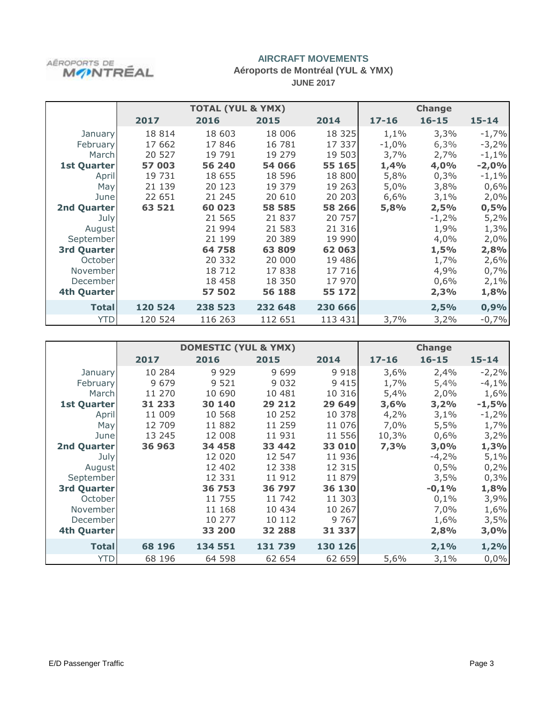

## **Aéroports de Montréal (YUL & YMX) JUNE 2017**

|                    |         | <b>TOTAL (YUL &amp; YMX)</b> |         |          |           | <b>Change</b> |           |
|--------------------|---------|------------------------------|---------|----------|-----------|---------------|-----------|
|                    | 2017    | 2016                         | 2015    | 2014     | $17 - 16$ | $16 - 15$     | $15 - 14$ |
| January            | 18 8 14 | 18 603                       | 18 006  | 18 3 25  | 1,1%      | 3,3%          | $-1,7%$   |
| February           | 17 662  | 17846                        | 16 781  | 17 337   | $-1,0%$   | 6,3%          | $-3,2%$   |
| March              | 20 527  | 19 791                       | 19 279  | 19 503   | 3,7%      | 2,7%          | $-1,1%$   |
| 1st Quarter        | 57 003  | 56 240                       | 54 066  | 55 165   | 1,4%      | 4,0%          | $-2,0%$   |
| April              | 19 731  | 18 655                       | 18 596  | 18 800   | 5,8%      | 0,3%          | $-1,1%$   |
| May                | 21 139  | 20 123                       | 19 379  | 19 263   | 5,0%      | 3,8%          | 0,6%      |
| June               | 22 651  | 21 245                       | 20 610  | 20 20 3  | 6,6%      | 3,1%          | 2,0%      |
| 2nd Quarter        | 63 521  | 60 023                       | 58 585  | 58 266   | 5,8%      | 2,5%          | 0,5%      |
| July               |         | 21 565                       | 21 837  | 20 757   |           | $-1,2%$       | 5,2%      |
| August             |         | 21 994                       | 21 583  | 21 316   |           | 1,9%          | 1,3%      |
| September          |         | 21 199                       | 20 389  | 19 990   |           | 4,0%          | 2,0%      |
| <b>3rd Quarter</b> |         | 64 758                       | 63 809  | 62 063   |           | 1,5%          | 2,8%      |
| October            |         | 20 332                       | 20 000  | 19 4 8 6 |           | 1,7%          | 2,6%      |
| November           |         | 18 7 12                      | 17838   | 17 716   |           | 4,9%          | 0,7%      |
| December           |         | 18 4 58                      | 18 350  | 17 970   |           | 0,6%          | 2,1%      |
| 4th Quarter        |         | 57 502                       | 56 188  | 55 172   |           | 2,3%          | 1,8%      |
| <b>Total</b>       | 120 524 | 238 523                      | 232 648 | 230 666  |           | 2,5%          | 0,9%      |
| <b>YTD</b>         | 120 524 | 116 263                      | 112 651 | 113 431  | 3,7%      | 3,2%          | $-0,7%$   |

|                    |         | <b>DOMESTIC (YUL &amp; YMX)</b> |         |         | <b>Change</b> |           |           |
|--------------------|---------|---------------------------------|---------|---------|---------------|-----------|-----------|
|                    | 2017    | 2016                            | 2015    | 2014    | $17 - 16$     | $16 - 15$ | $15 - 14$ |
| January            | 10 284  | 9 9 2 9                         | 9 6 9 9 | 9 9 1 8 | 3,6%          | 2,4%      | $-2,2%$   |
| February           | 9 6 7 9 | 9 5 2 1                         | 9 0 3 2 | 9 4 1 5 | 1,7%          | 5,4%      | $-4,1%$   |
| March              | 11 270  | 10 690                          | 10 481  | 10 316  | 5,4%          | 2,0%      | 1,6%      |
| <b>1st Quarter</b> | 31 233  | 30 140                          | 29 212  | 29 649  | 3,6%          | 3,2%      | $-1,5%$   |
| April              | 11 009  | 10 568                          | 10 252  | 10 378  | 4,2%          | 3,1%      | $-1,2%$   |
| May                | 12 709  | 11 882                          | 11 259  | 11 076  | 7,0%          | 5,5%      | 1,7%      |
| June               | 13 245  | 12 008                          | 11 931  | 11 556  | 10,3%         | 0,6%      | 3,2%      |
| <b>2nd Quarter</b> | 36 963  | 34 458                          | 33 442  | 33 010  | 7,3%          | 3,0%      | 1,3%      |
| July               |         | 12 020                          | 12 547  | 11 936  |               | $-4,2%$   | 5,1%      |
| August             |         | 12 402                          | 12 338  | 12 3 15 |               | 0,5%      | 0,2%      |
| September          |         | 12 331                          | 11 912  | 11 879  |               | 3,5%      | 0,3%      |
| <b>3rd Quarter</b> |         | 36 753                          | 36 797  | 36 130  |               | $-0,1%$   | 1,8%      |
| October            |         | 11 755                          | 11 742  | 11 303  |               | 0,1%      | 3,9%      |
| November           |         | 11 168                          | 10 434  | 10 267  |               | 7,0%      | 1,6%      |
| December           |         | 10 277                          | 10 112  | 9 7 6 7 |               | 1,6%      | 3,5%      |
| <b>4th Quarter</b> |         | 33 200                          | 32 288  | 31 337  |               | 2,8%      | 3,0%      |
| <b>Total</b>       | 68 196  | 134 551                         | 131 739 | 130 126 |               | 2,1%      | 1,2%      |
| <b>YTD</b>         | 68 196  | 64 598                          | 62 654  | 62 659  | 5,6%          | 3,1%      | 0,0%      |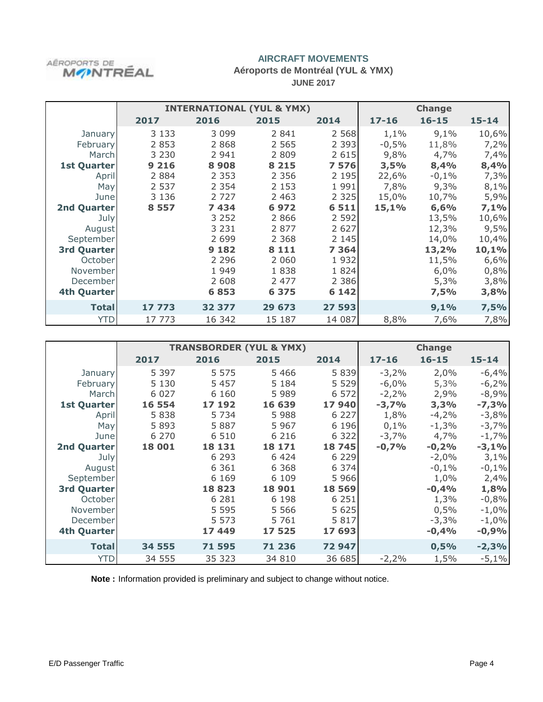

#### **Aéroports de Montréal (YUL & YMX) JUNE 2017**

|                    |         | <b>INTERNATIONAL (YUL &amp; YMX)</b> |         |         |           | <b>Change</b> |           |
|--------------------|---------|--------------------------------------|---------|---------|-----------|---------------|-----------|
|                    | 2017    | 2016                                 | 2015    | 2014    | $17 - 16$ | $16 - 15$     | $15 - 14$ |
| January            | 3 1 3 3 | 3 0 9 9                              | 2 8 4 1 | 2 5 6 8 | 1,1%      | 9,1%          | 10,6%     |
| February           | 2 8 5 3 | 2 8 6 8                              | 2 5 6 5 | 2 3 9 3 | $-0,5%$   | 11,8%         | 7,2%      |
| March              | 3 2 3 0 | 2 9 4 1                              | 2 8 0 9 | 2 6 1 5 | 9,8%      | 4,7%          | 7,4%      |
| <b>1st Quarter</b> | 9 2 1 6 | 8908                                 | 8 2 1 5 | 7576    | 3,5%      | 8,4%          | 8,4%      |
| April              | 2 8 8 4 | 2 3 5 3                              | 2 3 5 6 | 2 1 9 5 | 22,6%     | $-0,1%$       | 7,3%      |
| May                | 2 5 3 7 | 2 3 5 4                              | 2 1 5 3 | 1 9 9 1 | 7,8%      | 9,3%          | 8,1%      |
| June               | 3 1 3 6 | 2 7 2 7                              | 2 4 6 3 | 2 3 2 5 | 15,0%     | 10,7%         | 5,9%      |
| 2nd Quarter        | 8 5 5 7 | 7434                                 | 6972    | 6 5 1 1 | 15,1%     | 6,6%          | 7,1%      |
| July               |         | 3 2 5 2                              | 2 8 6 6 | 2 5 9 2 |           | 13,5%         | 10,6%     |
| August             |         | 3 2 3 1                              | 2 8 7 7 | 2 6 2 7 |           | 12,3%         | 9,5%      |
| September          |         | 2 6 9 9                              | 2 3 6 8 | 2 1 4 5 |           | 14,0%         | 10,4%     |
| <b>3rd Quarter</b> |         | 9 1 8 2                              | 8 1 1 1 | 7 3 6 4 |           | 13,2%         | 10,1%     |
| October            |         | 2 2 9 6                              | 2 0 6 0 | 1932    |           | 11,5%         | 6,6%      |
| November           |         | 1 9 4 9                              | 1838    | 1824    |           | 6,0%          | 0,8%      |
| December           |         | 2 608                                | 2 4 7 7 | 2 3 8 6 |           | 5,3%          | 3,8%      |
| 4th Quarter        |         | 6853                                 | 6 3 7 5 | 6 1 4 2 |           | 7,5%          | 3,8%      |
| <b>Total</b>       | 17 773  | 32 377                               | 29 673  | 27 593  |           | 9,1%          | 7,5%      |
| <b>YTD</b>         | 17 773  | 16 342                               | 15 187  | 14 087  | 8,8%      | 7,6%          | 7,8%      |

|                    |         |         | <b>TRANSBORDER (YUL &amp; YMX)</b> |         |           | <b>Change</b> |           |
|--------------------|---------|---------|------------------------------------|---------|-----------|---------------|-----------|
|                    | 2017    | 2016    | 2015                               | 2014    | $17 - 16$ | $16 - 15$     | $15 - 14$ |
| January            | 5 3 9 7 | 5 5 7 5 | 5 4 6 6                            | 5 8 3 9 | $-3,2%$   | 2,0%          | $-6,4%$   |
| February           | 5 1 3 0 | 5 4 5 7 | 5 1 8 4                            | 5 5 2 9 | $-6,0%$   | 5,3%          | $-6,2%$   |
| March              | 6 0 2 7 | 6 1 6 0 | 5 9 8 9                            | 6 5 7 2 | $-2,2%$   | 2,9%          | $-8,9%$   |
| <b>1st Quarter</b> | 16 554  | 17 192  | 16 639                             | 17940   | $-3,7%$   | 3,3%          | $-7,3%$   |
| April              | 5838    | 5 7 3 4 | 5 9 8 8                            | 6 2 2 7 | 1,8%      | $-4,2%$       | $-3,8%$   |
| May                | 5893    | 5887    | 5 9 6 7                            | 6 1 9 6 | 0,1%      | $-1,3%$       | $-3,7%$   |
| June               | 6 2 7 0 | 6 5 1 0 | 6 2 1 6                            | 6 3 2 2 | $-3,7%$   | 4,7%          | $-1,7%$   |
| 2nd Quarter        | 18 001  | 18 131  | 18 17 1                            | 18745   | $-0,7%$   | $-0,2%$       | $-3,1%$   |
| July               |         | 6 2 9 3 | 6424                               | 6 2 2 9 |           | $-2,0%$       | 3,1%      |
| August             |         | 6 3 6 1 | 6 3 6 8                            | 6 3 7 4 |           | $-0,1%$       | $-0,1%$   |
| September          |         | 6 1 6 9 | 6 1 0 9                            | 5 9 6 6 |           | 1,0%          | 2,4%      |
| <b>3rd Quarter</b> |         | 18823   | 18 901                             | 18 5 69 |           | $-0,4%$       | 1,8%      |
| October            |         | 6 2 8 1 | 6 1 9 8                            | 6 2 5 1 |           | 1,3%          | $-0,8%$   |
| November           |         | 5 5 9 5 | 5 5 6 6                            | 5 6 2 5 |           | 0,5%          | $-1,0%$   |
| December           |         | 5 5 7 3 | 5 7 6 1                            | 5817    |           | $-3,3%$       | $-1,0%$   |
| <b>4th Quarter</b> |         | 17449   | 17 525                             | 17 693  |           | $-0,4%$       | $-0,9%$   |
| <b>Total</b>       | 34 555  | 71 595  | 71 236                             | 72 947  |           | 0,5%          | $-2,3%$   |
| <b>YTD</b>         | 34 555  | 35 323  | 34 810                             | 36 685  | $-2,2%$   | 1,5%          | $-5,1%$   |

**Note :** Information provided is preliminary and subject to change without notice.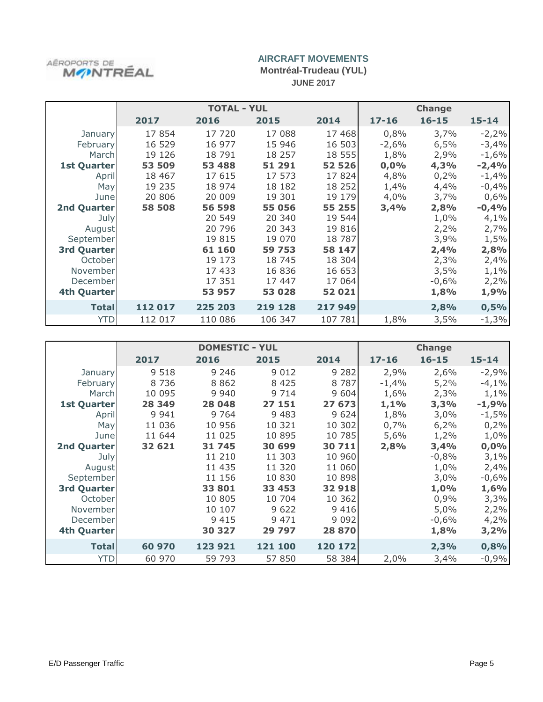

**Montréal-Trudeau (YUL) JUNE 2017**

|                    |         | <b>TOTAL - YUL</b> | <b>Change</b> |          |           |           |           |
|--------------------|---------|--------------------|---------------|----------|-----------|-----------|-----------|
|                    | 2017    | 2016               | 2015          | 2014     | $17 - 16$ | $16 - 15$ | $15 - 14$ |
| January            | 17854   | 17 720             | 17 088        | 17 468   | 0,8%      | 3,7%      | $-2,2%$   |
| February           | 16 529  | 16 977             | 15 946        | 16 503   | $-2,6%$   | 6,5%      | $-3,4%$   |
| March              | 19 126  | 18 791             | 18 257        | 18 555   | 1,8%      | 2,9%      | $-1,6%$   |
| <b>1st Quarter</b> | 53 509  | 53 488             | 51 291        | 52 526   | 0,0%      | 4,3%      | $-2,4%$   |
| April              | 18 4 67 | 17 615             | 17 573        | 17824    | 4,8%      | 0,2%      | $-1,4%$   |
| May                | 19 235  | 18 974             | 18 182        | 18 252   | 1,4%      | 4,4%      | $-0,4%$   |
| June               | 20 806  | 20 009             | 19 301        | 19 179   | 4,0%      | 3,7%      | 0,6%      |
| 2nd Quarter        | 58 508  | 56 598             | 55 056        | 55 255   | 3,4%      | 2,8%      | $-0,4%$   |
| July               |         | 20 549             | 20 340        | 19 544   |           | 1,0%      | 4,1%      |
| August             |         | 20 796             | 20 343        | 19 816   |           | 2,2%      | 2,7%      |
| September          |         | 19 815             | 19 070        | 18 7 8 7 |           | 3,9%      | 1,5%      |
| 3rd Quarter        |         | 61 160             | 59 753        | 58 147   |           | 2,4%      | 2,8%      |
| October            |         | 19 173             | 18 745        | 18 304   |           | 2,3%      | 2,4%      |
| November           |         | 17 433             | 16 836        | 16 653   |           | 3,5%      | 1,1%      |
| December           |         | 17 351             | 17 447        | 17 064   |           | $-0,6%$   | 2,2%      |
| 4th Quarter        |         | 53 957             | 53 028        | 52 021   |           | 1,8%      | 1,9%      |
| <b>Total</b>       | 112 017 | 225 203            | 219 128       | 217 949  |           | 2,8%      | 0,5%      |
| <b>YTD</b>         | 112 017 | 110 086            | 106 347       | 107 781  | 1,8%      | 3,5%      | $-1,3%$   |

|                    |         | <b>DOMESTIC - YUL</b> |         |         |           | <b>Change</b> |           |
|--------------------|---------|-----------------------|---------|---------|-----------|---------------|-----------|
|                    | 2017    | 2016                  | 2015    | 2014    | $17 - 16$ | $16 - 15$     | $15 - 14$ |
| January            | 9 5 1 8 | 9 2 4 6               | 9 0 1 2 | 9 2 8 2 | 2,9%      | 2,6%          | $-2,9%$   |
| February           | 8736    | 8862                  | 8 4 2 5 | 8 7 8 7 | $-1,4%$   | 5,2%          | $-4,1%$   |
| March              | 10 095  | 9 9 4 0               | 9 7 1 4 | 9 604   | 1,6%      | 2,3%          | 1,1%      |
| <b>1st Quarter</b> | 28 349  | 28 048                | 27 151  | 27 673  | 1,1%      | 3,3%          | $-1,9%$   |
| April              | 9 9 4 1 | 9 7 6 4               | 9 4 8 3 | 9 6 2 4 | 1,8%      | 3,0%          | $-1,5%$   |
| May                | 11 036  | 10 956                | 10 321  | 10 302  | 0,7%      | 6,2%          | 0,2%      |
| June               | 11 644  | 11 0 25               | 10 895  | 10 785  | 5,6%      | 1,2%          | 1,0%      |
| 2nd Quarter        | 32 621  | 31 745                | 30 699  | 30 711  | 2,8%      | 3,4%          | 0,0%      |
| July               |         | 11 210                | 11 303  | 10 960  |           | $-0,8%$       | 3,1%      |
| August             |         | 11 435                | 11 320  | 11 060  |           | 1,0%          | 2,4%      |
| September          |         | 11 156                | 10 830  | 10 898  |           | 3,0%          | $-0,6%$   |
| <b>3rd Quarter</b> |         | 33 801                | 33 453  | 32 918  |           | 1,0%          | 1,6%      |
| October            |         | 10 805                | 10 704  | 10 362  |           | 0,9%          | 3,3%      |
| November           |         | 10 107                | 9 6 2 2 | 9416    |           | 5,0%          | 2,2%      |
| December           |         | 9 4 1 5               | 9 4 7 1 | 9 0 9 2 |           | $-0,6%$       | 4,2%      |
| <b>4th Quarter</b> |         | 30 327                | 29 797  | 28 870  |           | 1,8%          | 3,2%      |
| <b>Total</b>       | 60 970  | 123 921               | 121 100 | 120 172 |           | 2,3%          | 0,8%      |
| <b>YTD</b>         | 60 970  | 59 793                | 57 850  | 58 384  | 2,0%      | 3,4%          | $-0,9%$   |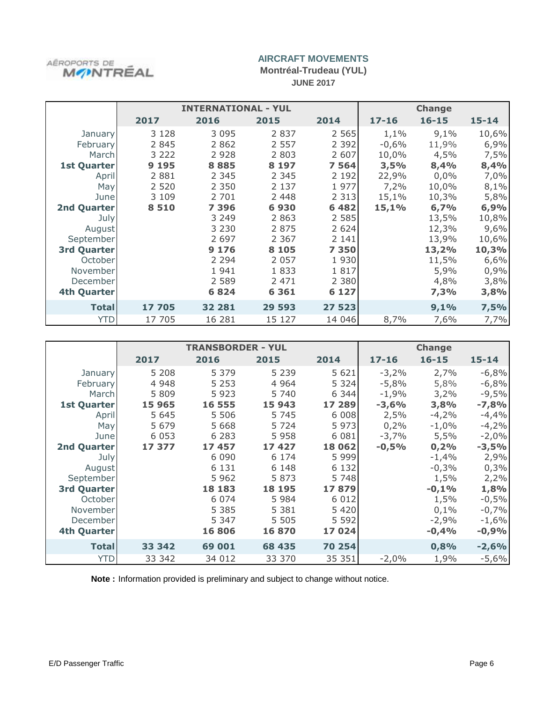

**Montréal-Trudeau (YUL) JUNE 2017**

|                    |         | <b>INTERNATIONAL - YUL</b> |         |         |           | <b>Change</b> |           |
|--------------------|---------|----------------------------|---------|---------|-----------|---------------|-----------|
|                    | 2017    | 2016                       | 2015    | 2014    | $17 - 16$ | $16 - 15$     | $15 - 14$ |
| January            | 3 1 2 8 | 3 0 9 5                    | 2 8 3 7 | 2 5 6 5 | 1,1%      | 9,1%          | 10,6%     |
| February           | 2 8 4 5 | 2 8 6 2                    | 2 5 5 7 | 2 3 9 2 | $-0,6%$   | 11,9%         | 6,9%      |
| March              | 3 2 2 2 | 2 9 2 8                    | 2 8 0 3 | 2 607   | 10,0%     | 4,5%          | 7,5%      |
| <b>1st Quarter</b> | 9 1 9 5 | 8885                       | 8 1 9 7 | 7 5 6 4 | 3,5%      | 8,4%          | 8,4%      |
| April              | 2 8 8 1 | 2 3 4 5                    | 2 3 4 5 | 2 1 9 2 | 22,9%     | 0,0%          | 7,0%      |
| May                | 2 5 2 0 | 2 3 5 0                    | 2 1 3 7 | 1977    | 7,2%      | 10,0%         | 8,1%      |
| June               | 3 1 0 9 | 2 701                      | 2 4 4 8 | 2 3 1 3 | 15,1%     | 10,3%         | 5,8%      |
| 2nd Quarter        | 8 5 1 0 | 7 3 9 6                    | 6930    | 6 4 8 2 | 15,1%     | 6,7%          | 6,9%      |
| July               |         | 3 2 4 9                    | 2 8 6 3 | 2 5 8 5 |           | 13,5%         | 10,8%     |
| August             |         | 3 2 3 0                    | 2 8 7 5 | 2 6 2 4 |           | 12,3%         | 9,6%      |
| September          |         | 2 6 9 7                    | 2 3 6 7 | 2 1 4 1 |           | 13,9%         | 10,6%     |
| <b>3rd Quarter</b> |         | 9 1 7 6                    | 8 1 0 5 | 7 3 5 0 |           | 13,2%         | 10,3%     |
| October            |         | 2 2 9 4                    | 2 0 5 7 | 1930    |           | 11,5%         | 6,6%      |
| November           |         | 1941                       | 1833    | 1817    |           | 5,9%          | 0,9%      |
| December           |         | 2 5 8 9                    | 2 4 7 1 | 2 3 8 0 |           | 4,8%          | 3,8%      |
| 4th Quarter        |         | 6824                       | 6 3 6 1 | 6 1 2 7 |           | 7,3%          | 3,8%      |
| <b>Total</b>       | 17 705  | 32 281                     | 29 593  | 27 523  |           | 9,1%          | 7,5%      |
| YTD                | 17 705  | 16 28 1                    | 15 127  | 14 046  | 8,7%      | 7,6%          | 7,7%      |

|                    |         | <b>TRANSBORDER - YUL</b> |         |         |           | <b>Change</b> |           |
|--------------------|---------|--------------------------|---------|---------|-----------|---------------|-----------|
|                    | 2017    | 2016                     | 2015    | 2014    | $17 - 16$ | $16 - 15$     | $15 - 14$ |
| January            | 5 2 0 8 | 5 3 7 9                  | 5 2 3 9 | 5 6 2 1 | $-3,2%$   | 2,7%          | $-6,8%$   |
| February           | 4 9 4 8 | 5 2 5 3                  | 4 9 6 4 | 5 3 2 4 | $-5,8%$   | 5,8%          | $-6,8%$   |
| March              | 5 8 0 9 | 5923                     | 5 740   | 6 3 4 4 | $-1,9%$   | 3,2%          | $-9,5%$   |
| <b>1st Quarter</b> | 15 965  | 16 555                   | 15 943  | 17 289  | $-3,6%$   | 3,8%          | $-7,8%$   |
| April              | 5 6 4 5 | 5 5 0 6                  | 5 7 4 5 | 6 0 0 8 | 2,5%      | $-4,2%$       | $-4,4%$   |
| May                | 5 6 7 9 | 5 6 6 8                  | 5 7 2 4 | 5 9 7 3 | 0,2%      | $-1,0%$       | $-4,2%$   |
| June               | 6 0 5 3 | 6 2 8 3                  | 5958    | 6 0 8 1 | $-3,7%$   | 5,5%          | $-2,0%$   |
| 2nd Quarter        | 17 377  | 17457                    | 17427   | 18 062  | $-0,5%$   | 0,2%          | $-3,5%$   |
| July               |         | 6 0 9 0                  | 6 1 7 4 | 5 9 9 9 |           | $-1,4%$       | 2,9%      |
| August             |         | 6 1 3 1                  | 6 1 4 8 | 6 1 3 2 |           | $-0,3%$       | 0,3%      |
| September          |         | 5962                     | 5873    | 5 7 4 8 |           | 1,5%          | 2,2%      |
| <b>3rd Quarter</b> |         | 18 183                   | 18 195  | 17879   |           | $-0,1%$       | 1,8%      |
| October            |         | 6 0 7 4                  | 5 9 8 4 | 6 0 1 2 |           | 1,5%          | $-0,5%$   |
| November           |         | 5 3 8 5                  | 5 3 8 1 | 5 4 2 0 |           | 0,1%          | $-0,7%$   |
| December           |         | 5 3 4 7                  | 5 5 0 5 | 5 5 9 2 |           | $-2,9%$       | $-1,6%$   |
| <b>4th Quarter</b> |         | 16806                    | 16870   | 17024   |           | $-0,4%$       | $-0,9%$   |
| <b>Total</b>       | 33 342  | 69 001                   | 68 435  | 70 254  |           | 0,8%          | $-2,6%$   |
| <b>YTD</b>         | 33 342  | 34 012                   | 33 370  | 35 351  | $-2,0%$   | 1,9%          | $-5,6%$   |

**Note :** Information provided is preliminary and subject to change without notice.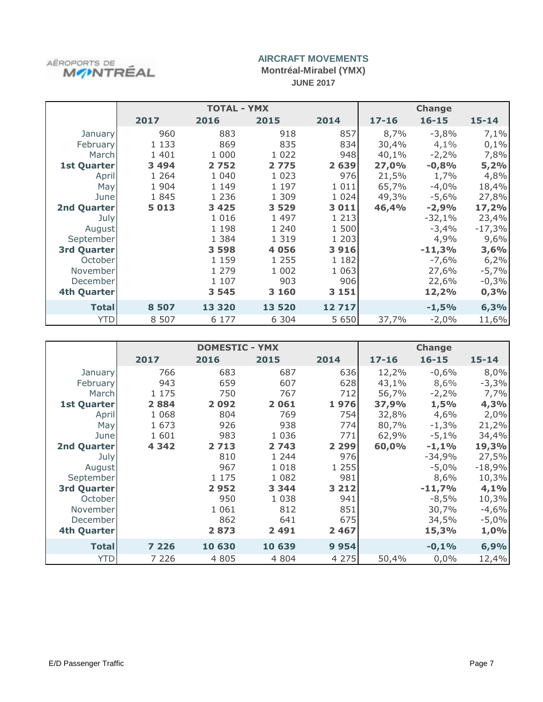

**Montréal-Mirabel (YMX) JUNE 2017**

|                    | <b>TOTAL - YMX</b> |         |         |         | <b>Change</b> |           |           |
|--------------------|--------------------|---------|---------|---------|---------------|-----------|-----------|
|                    | 2017               | 2016    | 2015    | 2014    | $17 - 16$     | $16 - 15$ | $15 - 14$ |
| January            | 960                | 883     | 918     | 857     | 8,7%          | $-3,8%$   | 7,1%      |
| February           | 1 1 3 3            | 869     | 835     | 834     | 30,4%         | 4,1%      | 0,1%      |
| March              | 1 4 0 1            | 1 000   | 1 0 2 2 | 948     | 40,1%         | $-2,2%$   | 7,8%      |
| <b>1st Quarter</b> | 3 4 9 4            | 2752    | 2775    | 2 6 3 9 | 27,0%         | $-0,8%$   | 5,2%      |
| April              | 1 2 6 4            | 1 0 4 0 | 1 0 2 3 | 976     | 21,5%         | 1,7%      | 4,8%      |
| May                | 1 9 0 4            | 1 1 4 9 | 1 1 9 7 | 1 0 1 1 | 65,7%         | $-4,0%$   | 18,4%     |
| June               | 1845               | 1 2 3 6 | 1 309   | 1 0 2 4 | 49,3%         | -5,6%     | 27,8%     |
| <b>2nd Quarter</b> | 5 0 1 3            | 3 4 2 5 | 3 5 2 9 | 3 0 1 1 | 46,4%         | $-2,9%$   | 17,2%     |
| July               |                    | 1 0 1 6 | 1 4 9 7 | 1 2 1 3 |               | $-32,1%$  | 23,4%     |
| August             |                    | 1 1 9 8 | 1 240   | 1 500   |               | $-3,4%$   | $-17,3%$  |
| September          |                    | 1 3 8 4 | 1 3 1 9 | 1 203   |               | 4,9%      | 9,6%      |
| <b>3rd Quarter</b> |                    | 3 5 9 8 | 4 0 5 6 | 3916    |               | $-11,3%$  | 3,6%      |
| October            |                    | 1 1 5 9 | 1 2 5 5 | 1 1 8 2 |               | $-7,6%$   | 6,2%      |
| November           |                    | 1 2 7 9 | 1 002   | 1 0 6 3 |               | 27,6%     | $-5,7%$   |
| December           |                    | 1 107   | 903     | 906     |               | 22,6%     | $-0,3%$   |
| <b>4th Quarter</b> |                    | 3 5 4 5 | 3 1 6 0 | 3 1 5 1 |               | 12,2%     | 0,3%      |
| <b>Total</b>       | 8 5 0 7            | 13 3 20 | 13 520  | 12717   |               | $-1,5%$   | 6,3%      |
| <b>YTD</b>         | 8 5 0 7            | 6 1 7 7 | 6 3 0 4 | 5 6 5 0 | 37,7%         | $-2,0%$   | 11,6%     |

|                    | <b>DOMESTIC - YMX</b> |         |         |         | <b>Change</b> |           |           |
|--------------------|-----------------------|---------|---------|---------|---------------|-----------|-----------|
|                    | 2017                  | 2016    | 2015    | 2014    | $17 - 16$     | $16 - 15$ | $15 - 14$ |
| January            | 766                   | 683     | 687     | 636     | 12,2%         | $-0,6%$   | 8,0%      |
| February           | 943                   | 659     | 607     | 628     | 43,1%         | 8,6%      | $-3,3%$   |
| March              | 1 1 7 5               | 750     | 767     | 712     | 56,7%         | $-2,2%$   | 7,7%      |
| <b>1st Quarter</b> | 2884                  | 2092    | 2061    | 1976    | 37,9%         | 1,5%      | 4,3%      |
| April              | 1 0 6 8               | 804     | 769     | 754     | 32,8%         | 4,6%      | 2,0%      |
| May                | 1 673                 | 926     | 938     | 774     | 80,7%         | $-1,3%$   | 21,2%     |
| June               | 1 601                 | 983     | 1 0 3 6 | 771     | 62,9%         | $-5,1%$   | 34,4%     |
| <b>2nd Quarter</b> | 4 342                 | 2713    | 2 743   | 2 2 9 9 | 60,0%         | $-1,1%$   | 19,3%     |
| July               |                       | 810     | 1 2 4 4 | 976     |               | $-34,9%$  | 27,5%     |
| August             |                       | 967     | 1 0 1 8 | 1 2 5 5 |               | $-5,0%$   | $-18,9%$  |
| September          |                       | 1 1 7 5 | 1 0 8 2 | 981     |               | 8,6%      | 10,3%     |
| <b>3rd Quarter</b> |                       | 2952    | 3 3 4 4 | 3 2 1 2 |               | $-11,7%$  | 4,1%      |
| October            |                       | 950     | 1 0 3 8 | 941     |               | $-8,5%$   | 10,3%     |
| November           |                       | 1 0 6 1 | 812     | 851     |               | 30,7%     | $-4,6%$   |
| December           |                       | 862     | 641     | 675     |               | 34,5%     | $-5,0%$   |
| <b>4th Quarter</b> |                       | 2873    | 2 4 9 1 | 2 4 6 7 |               | 15,3%     | 1,0%      |
| <b>Total</b>       | 7 2 2 6               | 10 630  | 10 639  | 9954    |               | $-0,1%$   | 6,9%      |
| <b>YTD</b>         | 7 2 2 6               | 4 8 0 5 | 4 8 0 4 | 4 2 7 5 | 50,4%         | 0,0%      | 12,4%     |